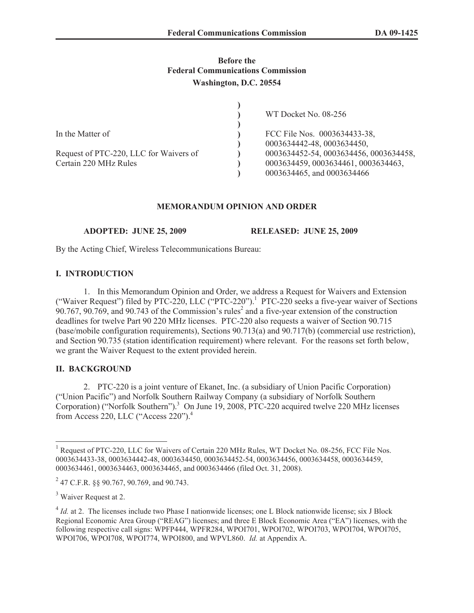## **Before the Federal Communications Commission Washington, D.C. 20554**

|                                        | WT Docket No. 08-256                   |
|----------------------------------------|----------------------------------------|
|                                        |                                        |
| In the Matter of                       | FCC File Nos. 0003634433-38,           |
|                                        | 0003634442-48, 0003634450,             |
| Request of PTC-220, LLC for Waivers of | 0003634452-54, 0003634456, 0003634458, |
| Certain 220 MHz Rules                  | 0003634459, 0003634461, 0003634463,    |
|                                        | 0003634465, and 0003634466             |

## **MEMORANDUM OPINION AND ORDER**

**ADOPTED: JUNE 25, 2009 RELEASED: JUNE 25, 2009** 

By the Acting Chief, Wireless Telecommunications Bureau:

### **I. INTRODUCTION**

1. In this Memorandum Opinion and Order, we address a Request for Waivers and Extension ("Waiver Request") filed by PTC-220, LLC ("PTC-220").<sup>1</sup> PTC-220 seeks a five-year waiver of Sections  $90.767$ ,  $90.769$ , and  $90.743$  of the Commission's rules<sup>2</sup> and a five-year extension of the construction deadlines for twelve Part 90 220 MHz licenses. PTC-220 also requests a waiver of Section 90.715 (base/mobile configuration requirements), Sections 90.713(a) and 90.717(b) (commercial use restriction), and Section 90.735 (station identification requirement) where relevant. For the reasons set forth below, we grant the Waiver Request to the extent provided herein.

# **II. BACKGROUND**

2. PTC-220 is a joint venture of Ekanet, Inc. (a subsidiary of Union Pacific Corporation) ("Union Pacific") and Norfolk Southern Railway Company (a subsidiary of Norfolk Southern Corporation) ("Norfolk Southern").<sup>3</sup> On June  $19, 2008, PTC-220$  acquired twelve 220 MHz licenses from Access 220, LLC ("Access 220").<sup>4</sup>

<sup>&</sup>lt;sup>1</sup> Request of PTC-220, LLC for Waivers of Certain 220 MHz Rules, WT Docket No. 08-256, FCC File Nos. 0003634433-38, 0003634442-48, 0003634450, 0003634452-54, 0003634456, 0003634458, 0003634459, 0003634461, 0003634463, 0003634465, and 0003634466 (filed Oct. 31, 2008).

 $^{2}$  47 C.F.R. §§ 90.767, 90.769, and 90.743.

<sup>&</sup>lt;sup>3</sup> Waiver Request at 2.

<sup>&</sup>lt;sup>4</sup> *Id.* at 2. The licenses include two Phase I nationwide licenses; one L Block nationwide license; six J Block Regional Economic Area Group ("REAG") licenses; and three E Block Economic Area ("EA") licenses, with the following respective call signs: WPFP444, WPFR284, WPOI701, WPOI702, WPOI703, WPOI704, WPOI705, WPOI706, WPOI708, WPOI774, WPOI800, and WPVL860. *Id.* at Appendix A.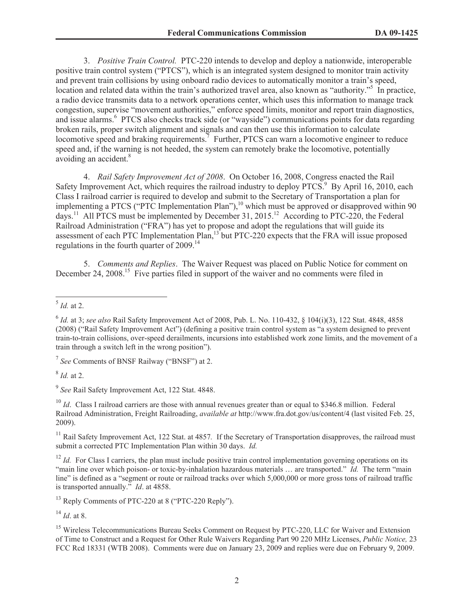3. *Positive Train Control.* PTC-220 intends to develop and deploy a nationwide, interoperable positive train control system ("PTCS"), which is an integrated system designed to monitor train activity and prevent train collisions by using onboard radio devices to automatically monitor a train's speed, location and related data within the train's authorized travel area, also known as "authority."<sup>5</sup> In practice, a radio device transmits data to a network operations center, which uses this information to manage track congestion, supervise "movement authorities," enforce speed limits, monitor and report train diagnostics, and issue alarms.<sup>6</sup> PTCS also checks track side (or "wayside") communications points for data regarding broken rails, proper switch alignment and signals and can then use this information to calculate locomotive speed and braking requirements.<sup>7</sup> Further, PTCS can warn a locomotive engineer to reduce speed and, if the warning is not heeded, the system can remotely brake the locomotive, potentially avoiding an accident.<sup>8</sup>

4. *Rail Safety Improvement Act of 2008*. On October 16, 2008, Congress enacted the Rail Safety Improvement Act, which requires the railroad industry to deploy PTCS.<sup>9</sup> By April 16, 2010, each Class I railroad carrier is required to develop and submit to the Secretary of Transportation a plan for implementing a PTCS ("PTC Implementation Plan"),<sup>10</sup> which must be approved or disapproved within 90 days.<sup>11</sup> All PTCS must be implemented by December 31, 2015.<sup>12</sup> According to PTC-220, the Federal Railroad Administration ("FRA") has yet to propose and adopt the regulations that will guide its assessment of each PTC Implementation Plan,<sup>13</sup> but PTC-220 expects that the FRA will issue proposed regulations in the fourth quarter of 2009.<sup>14</sup>

5. *Comments and Replies*. The Waiver Request was placed on Public Notice for comment on December 24, 2008.<sup>15</sup> Five parties filed in support of the waiver and no comments were filed in

7 *See* Comments of BNSF Railway ("BNSF") at 2.

8 *Id.* at 2.

9 *See* Rail Safety Improvement Act, 122 Stat. 4848.

<sup>10</sup> *Id.* Class I railroad carriers are those with annual revenues greater than or equal to \$346.8 million. Federal Railroad Administration, Freight Railroading, *available at* http://www.fra.dot.gov/us/content/4 (last visited Feb. 25, 2009).

<sup>11</sup> Rail Safety Improvement Act, 122 Stat. at 4857. If the Secretary of Transportation disapproves, the railroad must submit a corrected PTC Implementation Plan within 30 days. *Id.*

 $12$  *Id.* For Class I carriers, the plan must include positive train control implementation governing operations on its "main line over which poison- or toxic-by-inhalation hazardous materials ... are transported." *Id.* The term "main line" is defined as a "segment or route or railroad tracks over which 5,000,000 or more gross tons of railroad traffic is transported annually." *Id*. at 4858.

<sup>13</sup> Reply Comments of PTC-220 at 8 ("PTC-220 Reply").

<sup>14</sup> *Id*. at 8.

<sup>15</sup> Wireless Telecommunications Bureau Seeks Comment on Request by PTC-220, LLC for Waiver and Extension of Time to Construct and a Request for Other Rule Waivers Regarding Part 90 220 MHz Licenses, *Public Notice,* 23 FCC Rcd 18331 (WTB 2008). Comments were due on January 23, 2009 and replies were due on February 9, 2009.

<sup>5</sup> *Id.* at 2.

<sup>6</sup> *Id.* at 3; *see also* Rail Safety Improvement Act of 2008, Pub. L. No. 110-432, § 104(i)(3), 122 Stat. 4848, 4858 (2008) ("Rail Safety Improvement Act") (defining a positive train control system as "a system designed to prevent train-to-train collisions, over-speed derailments, incursions into established work zone limits, and the movement of a train through a switch left in the wrong position").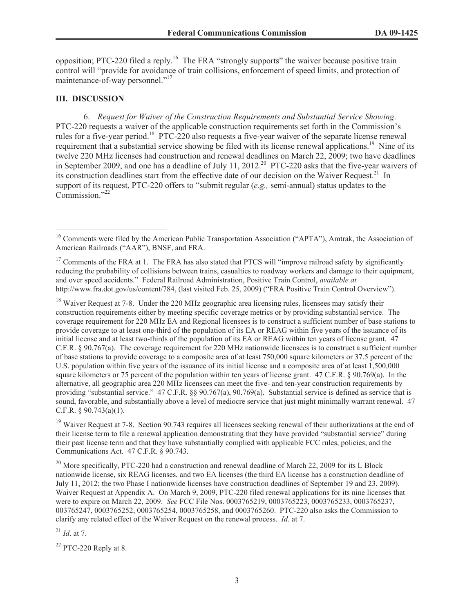opposition; PTC-220 filed a reply.<sup>16</sup> The FRA "strongly supports" the waiver because positive train control will "provide for avoidance of train collisions, enforcement of speed limits, and protection of maintenance-of-way personnel."<sup>17</sup>

### **III. DISCUSSION**

6. *Request for Waiver of the Construction Requirements and Substantial Service Showing*. PTC-220 requests a waiver of the applicable construction requirements set forth in the Commission's rules for a five-year period.<sup>18</sup> PTC-220 also requests a five-year waiver of the separate license renewal requirement that a substantial service showing be filed with its license renewal applications.<sup>19</sup> Nine of its twelve 220 MHz licenses had construction and renewal deadlines on March 22, 2009; two have deadlines in September 2009, and one has a deadline of July 11, 2012.<sup>20</sup> PTC-220 asks that the five-year waivers of its construction deadlines start from the effective date of our decision on the Waiver Request.<sup>21</sup> In support of its request, PTC-220 offers to "submit regular (*e.g.,* semi-annual) status updates to the  $Commission$ <sup>"22</sup>

<sup>18</sup> Waiver Request at 7-8. Under the 220 MHz geographic area licensing rules, licensees may satisfy their construction requirements either by meeting specific coverage metrics or by providing substantial service. The coverage requirement for 220 MHz EA and Regional licensees is to construct a sufficient number of base stations to provide coverage to at least one-third of the population of its EA or REAG within five years of the issuance of its initial license and at least two-thirds of the population of its EA or REAG within ten years of license grant. 47 C.F.R. § 90.767(a). The coverage requirement for 220 MHz nationwide licensees is to construct a sufficient number of base stations to provide coverage to a composite area of at least 750,000 square kilometers or 37.5 percent of the U.S. population within five years of the issuance of its initial license and a composite area of at least 1,500,000 square kilometers or 75 percent of the population within ten years of license grant. 47 C.F.R. § 90.769(a). In the alternative, all geographic area 220 MHz licensees can meet the five- and ten-year construction requirements by providing "substantial service." 47 C.F.R. §§ 90.767(a), 90.769(a). Substantial service is defined as service that is sound, favorable, and substantially above a level of mediocre service that just might minimally warrant renewal. 47 C.F.R. § 90.743(a)(1).

 $19$  Waiver Request at 7-8. Section 90.743 requires all licensees seeking renewal of their authorizations at the end of their license term to file a renewal application demonstrating that they have provided "substantial service" during their past license term and that they have substantially complied with applicable FCC rules, policies, and the Communications Act. 47 C.F.R. § 90.743.

 $^{20}$  More specifically, PTC-220 had a construction and renewal deadline of March 22, 2009 for its L Block nationwide license, six REAG licenses, and two EA licenses (the third EA license has a construction deadline of July 11, 2012; the two Phase I nationwide licenses have construction deadlines of September 19 and 23, 2009). Waiver Request at Appendix A. On March 9, 2009, PTC-220 filed renewal applications for its nine licenses that were to expire on March 22, 2009. *See* FCC File Nos. 0003765219, 0003765223, 0003765233, 0003765237, 003765247, 0003765252, 0003765254, 0003765258, and 0003765260. PTC-220 also asks the Commission to clarify any related effect of the Waiver Request on the renewal process. *Id*. at 7.

<sup>21</sup> *Id*. at 7.

 $22$  PTC-220 Reply at 8.

<sup>&</sup>lt;sup>16</sup> Comments were filed by the American Public Transportation Association ("APTA"), Amtrak, the Association of American Railroads ("AAR"), BNSF, and FRA.

<sup>&</sup>lt;sup>17</sup> Comments of the FRA at 1. The FRA has also stated that PTCS will "improve railroad safety by significantly reducing the probability of collisions between trains, casualties to roadway workers and damage to their equipment, and over speed accidents." Federal Railroad Administration, Positive Train Control, *available at*  http://www.fra.dot.gov/us/content/784, (last visited Feb. 25, 2009) ("FRA Positive Train Control Overview").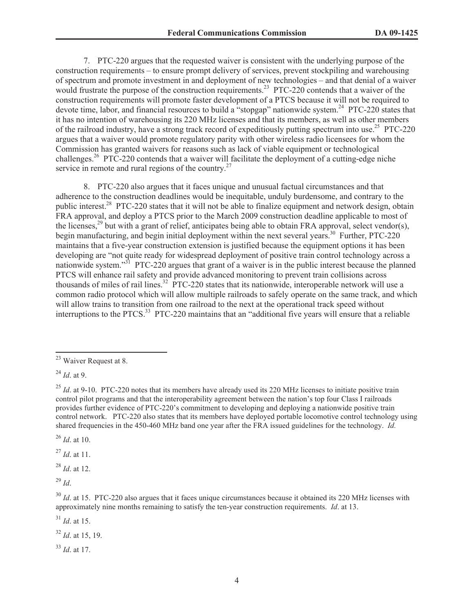7. PTC-220 argues that the requested waiver is consistent with the underlying purpose of the construction requirements – to ensure prompt delivery of services, prevent stockpiling and warehousing of spectrum and promote investment in and deployment of new technologies – and that denial of a waiver would frustrate the purpose of the construction requirements.<sup>23</sup> PTC-220 contends that a waiver of the construction requirements will promote faster development of a PTCS because it will not be required to devote time, labor, and financial resources to build a "stopgap" nationwide system.<sup>24</sup> PTC-220 states that it has no intention of warehousing its 220 MHz licenses and that its members, as well as other members of the railroad industry, have a strong track record of expeditiously putting spectrum into use.<sup>25</sup> PTC-220 argues that a waiver would promote regulatory parity with other wireless radio licensees for whom the Commission has granted waivers for reasons such as lack of viable equipment or technological challenges.<sup>26</sup> PTC-220 contends that a waiver will facilitate the deployment of a cutting-edge niche service in remote and rural regions of the country. $27$ 

8. PTC-220 also argues that it faces unique and unusual factual circumstances and that adherence to the construction deadlines would be inequitable, unduly burdensome, and contrary to the public interest.<sup>28</sup> PTC-220 states that it will not be able to finalize equipment and network design, obtain FRA approval, and deploy a PTCS prior to the March 2009 construction deadline applicable to most of the licenses,<sup>29</sup> but with a grant of relief, anticipates being able to obtain FRA approval, select vendor(s), begin manufacturing, and begin initial deployment within the next several years.<sup>30</sup> Further, PTC-220 maintains that a five-year construction extension is justified because the equipment options it has been developing are "not quite ready for widespread deployment of positive train control technology across a nationwide system."<sup>31</sup> PTC-220 argues that grant of a waiver is in the public interest because the planned PTCS will enhance rail safety and provide advanced monitoring to prevent train collisions across thousands of miles of rail lines.<sup>32</sup> PTC-220 states that its nationwide, interoperable network will use a common radio protocol which will allow multiple railroads to safely operate on the same track, and which will allow trains to transition from one railroad to the next at the operational track speed without interruptions to the PTCS.<sup>33</sup> PTC-220 maintains that an "additional five years will ensure that a reliable

<sup>26</sup> *Id*. at 10.

<sup>27</sup> *Id*. at 11.

<sup>28</sup> *Id*. at 12.

<sup>29</sup> *Id*.

<sup>31</sup> *Id*. at 15.

<sup>32</sup> *Id*. at 15, 19.

<sup>33</sup> *Id*. at 17.

<sup>23</sup> Waiver Request at 8.

<sup>24</sup> *Id*. at 9.

<sup>&</sup>lt;sup>25</sup> *Id.* at 9-10. PTC-220 notes that its members have already used its 220 MHz licenses to initiate positive train control pilot programs and that the interoperability agreement between the nation's top four Class I railroads provides further evidence of PTC-220's commitment to developing and deploying a nationwide positive train control network. PTC-220 also states that its members have deployed portable locomotive control technology using shared frequencies in the 450-460 MHz band one year after the FRA issued guidelines for the technology. *Id.*

<sup>&</sup>lt;sup>30</sup> *Id.* at 15. PTC-220 also argues that it faces unique circumstances because it obtained its 220 MHz licenses with approximately nine months remaining to satisfy the ten-year construction requirements. *Id*. at 13.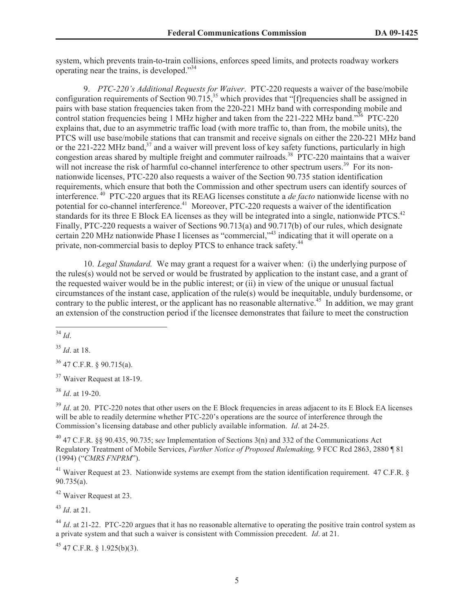system, which prevents train-to-train collisions, enforces speed limits, and protects roadway workers operating near the trains, is developed."<sup>34</sup>

9. *PTC-220's Additional Requests for Waiver*. PTC-220 requests a waiver of the base/mobile configuration requirements of Section  $90.715$ ,<sup>35</sup> which provides that "[f]requencies shall be assigned in pairs with base station frequencies taken from the 220-221 MHz band with corresponding mobile and control station frequencies being 1 MHz higher and taken from the 221-222 MHz band."<sup>36</sup> PTC-220 explains that, due to an asymmetric traffic load (with more traffic to, than from, the mobile units), the PTCS will use base/mobile stations that can transmit and receive signals on either the 220-221 MHz band or the 221-222 MHz band, $37$  and a waiver will prevent loss of key safety functions, particularly in high congestion areas shared by multiple freight and commuter railroads.<sup>38</sup> PTC-220 maintains that a waiver will not increase the risk of harmful co-channel interference to other spectrum users.<sup>39</sup> For its nonnationwide licenses, PTC-220 also requests a waiver of the Section 90.735 station identification requirements, which ensure that both the Commission and other spectrum users can identify sources of interference. <sup>40</sup> PTC-220 argues that its REAG licenses constitute a *de facto* nationwide license with no potential for co-channel interference.<sup>41</sup> Moreover, PTC-220 requests a waiver of the identification standards for its three E Block EA licenses as they will be integrated into a single, nationwide PTCS.<sup>42</sup> Finally, PTC-220 requests a waiver of Sections 90.713(a) and 90.717(b) of our rules, which designate certain 220 MHz nationwide Phase I licenses as "commercial,"<sup>43</sup> indicating that it will operate on a private, non-commercial basis to deploy PTCS to enhance track safety.<sup>44</sup>

10. *Legal Standard.* We may grant a request for a waiver when: (i) the underlying purpose of the rules(s) would not be served or would be frustrated by application to the instant case, and a grant of the requested waiver would be in the public interest; or (ii) in view of the unique or unusual factual circumstances of the instant case, application of the rule(s) would be inequitable, unduly burdensome, or contrary to the public interest, or the applicant has no reasonable alternative.<sup>45</sup> In addition, we may grant an extension of the construction period if the licensee demonstrates that failure to meet the construction

<sup>34</sup> *Id*.

<sup>35</sup> *Id*. at 18.

 $36$  47 C.F.R. § 90.715(a).

<sup>37</sup> Waiver Request at 18-19.

<sup>38</sup> *Id*. at 19-20.

 $39$  *Id.* at 20. PTC-220 notes that other users on the E Block frequencies in areas adjacent to its E Block EA licenses will be able to readily determine whether PTC-220's operations are the source of interference through the Commission's licensing database and other publicly available information. *Id*. at 24-25.

<sup>40</sup> 47 C.F.R. §§ 90.435, 90.735; s*ee* Implementation of Sections 3(n) and 332 of the Communications Act Regulatory Treatment of Mobile Services, *Further Notice of Proposed Rulemaking,* 9 FCC Rcd 2863, 2880 ¶ 81 (1994) ("*CMRS FNPRM*").

<sup>41</sup> Waiver Request at 23. Nationwide systems are exempt from the station identification requirement. 47 C.F.R. § 90.735(a).

 $42$  Waiver Request at 23.

<sup>43</sup> *Id*. at 21.

<sup>44</sup> *Id.* at 21-22. PTC-220 argues that it has no reasonable alternative to operating the positive train control system as a private system and that such a waiver is consistent with Commission precedent. *Id*. at 21.

 $45$  47 C.F.R. § 1.925(b)(3).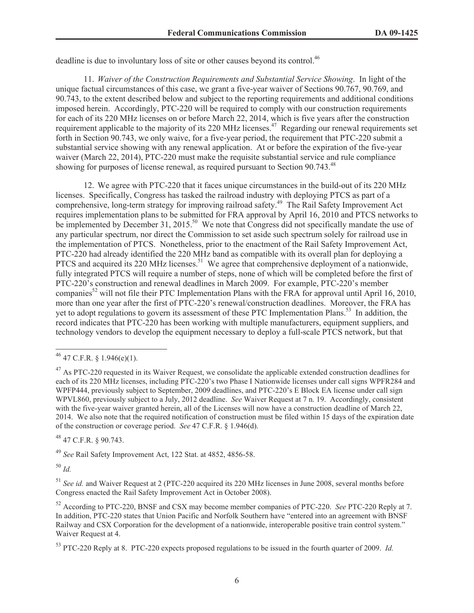deadline is due to involuntary loss of site or other causes beyond its control.<sup>46</sup>

11. *Waiver of the Construction Requirements and Substantial Service Showing*. In light of the unique factual circumstances of this case, we grant a five-year waiver of Sections 90.767, 90.769, and 90.743, to the extent described below and subject to the reporting requirements and additional conditions imposed herein. Accordingly, PTC-220 will be required to comply with our construction requirements for each of its 220 MHz licenses on or before March 22, 2014, which is five years after the construction requirement applicable to the majority of its 220 MHz licenses.<sup>47</sup> Regarding our renewal requirements set forth in Section 90.743, we only waive, for a five-year period, the requirement that PTC-220 submit a substantial service showing with any renewal application. At or before the expiration of the five-year waiver (March 22, 2014), PTC-220 must make the requisite substantial service and rule compliance showing for purposes of license renewal, as required pursuant to Section 90.743.<sup>48</sup>

12. We agree with PTC-220 that it faces unique circumstances in the build-out of its 220 MHz licenses. Specifically, Congress has tasked the railroad industry with deploying PTCS as part of a comprehensive, long-term strategy for improving railroad safety.<sup>49</sup> The Rail Safety Improvement Act requires implementation plans to be submitted for FRA approval by April 16, 2010 and PTCS networks to be implemented by December 31, 2015.<sup>50</sup> We note that Congress did not specifically mandate the use of any particular spectrum, nor direct the Commission to set aside such spectrum solely for railroad use in the implementation of PTCS. Nonetheless, prior to the enactment of the Rail Safety Improvement Act, PTC-220 had already identified the 220 MHz band as compatible with its overall plan for deploying a PTCS and acquired its 220 MHz licenses.<sup>51</sup> We agree that comprehensive deployment of a nationwide, fully integrated PTCS will require a number of steps, none of which will be completed before the first of PTC-220's construction and renewal deadlines in March 2009. For example, PTC-220's member companies<sup>52</sup> will not file their PTC Implementation Plans with the FRA for approval until April 16, 2010, more than one year after the first of PTC-220's renewal/construction deadlines. Moreover, the FRA has yet to adopt regulations to govern its assessment of these PTC Implementation Plans.<sup>53</sup> In addition, the record indicates that PTC-220 has been working with multiple manufacturers, equipment suppliers, and technology vendors to develop the equipment necessary to deploy a full-scale PTCS network, but that

<sup>48</sup> 47 C.F.R. § 90.743.

<sup>49</sup> *See* Rail Safety Improvement Act, 122 Stat. at 4852, 4856-58.

<sup>50</sup> *Id.*

<sup>51</sup> *See id.* and Waiver Request at 2 (PTC-220 acquired its 220 MHz licenses in June 2008, several months before Congress enacted the Rail Safety Improvement Act in October 2008).

<sup>52</sup> According to PTC-220, BNSF and CSX may become member companies of PTC-220. *See* PTC-220 Reply at 7. In addition, PTC-220 states that Union Pacific and Norfolk Southern have "entered into an agreement with BNSF Railway and CSX Corporation for the development of a nationwide, interoperable positive train control system." Waiver Request at 4.

<sup>53</sup> PTC-220 Reply at 8. PTC-220 expects proposed regulations to be issued in the fourth quarter of 2009. *Id.*

 $^{46}$  47 C.F.R. § 1.946(e)(1).

 $^{47}$  As PTC-220 requested in its Waiver Request, we consolidate the applicable extended construction deadlines for each of its 220 MHz licenses, including PTC-220's two Phase I Nationwide licenses under call signs WPFR284 and WPFP444, previously subject to September, 2009 deadlines, and PTC-220's E Block EA license under call sign WPVL860, previously subject to a July, 2012 deadline. *See* Waiver Request at 7 n. 19. Accordingly, consistent with the five-year waiver granted herein, all of the Licenses will now have a construction deadline of March 22, 2014. We also note that the required notification of construction must be filed within 15 days of the expiration date of the construction or coverage period. *See* 47 C.F.R. § 1.946(d).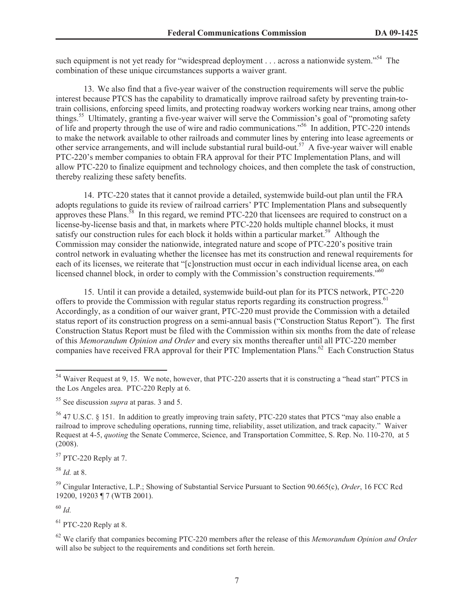such equipment is not yet ready for "widespread deployment . . . across a nationwide system."<sup>54</sup> The combination of these unique circumstances supports a waiver grant.

13. We also find that a five-year waiver of the construction requirements will serve the public interest because PTCS has the capability to dramatically improve railroad safety by preventing train-totrain collisions, enforcing speed limits, and protecting roadway workers working near trains, among other things.<sup>55</sup> Ultimately, granting a five-year waiver will serve the Commission's goal of "promoting safety of life and property through the use of wire and radio communications."<sup>56</sup> In addition, PTC-220 intends to make the network available to other railroads and commuter lines by entering into lease agreements or other service arrangements, and will include substantial rural build-out.<sup>57</sup> A five-year waiver will enable PTC-220's member companies to obtain FRA approval for their PTC Implementation Plans, and will allow PTC-220 to finalize equipment and technology choices, and then complete the task of construction, thereby realizing these safety benefits.

14. PTC-220 states that it cannot provide a detailed, systemwide build-out plan until the FRA adopts regulations to guide its review of railroad carriers' PTC Implementation Plans and subsequently approves these Plans.<sup>58</sup> In this regard, we remind PTC-220 that licensees are required to construct on a license-by-license basis and that, in markets where PTC-220 holds multiple channel blocks, it must satisfy our construction rules for each block it holds within a particular market.<sup>59</sup> Although the Commission may consider the nationwide, integrated nature and scope of PTC-220's positive train control network in evaluating whether the licensee has met its construction and renewal requirements for each of its licenses, we reiterate that "[c]onstruction must occur in each individual license area, on each licensed channel block, in order to comply with the Commission's construction requirements."<sup>60</sup>

15. Until it can provide a detailed, systemwide build-out plan for its PTCS network, PTC-220 offers to provide the Commission with regular status reports regarding its construction progress.<sup>61</sup> Accordingly, as a condition of our waiver grant, PTC-220 must provide the Commission with a detailed status report of its construction progress on a semi-annual basis ("Construction Status Report"). The first Construction Status Report must be filed with the Commission within six months from the date of release of this *Memorandum Opinion and Order* and every six months thereafter until all PTC-220 member companies have received FRA approval for their PTC Implementation Plans.<sup>62</sup> Each Construction Status

 $57$  PTC-220 Reply at 7.

<sup>58</sup> *Id.* at 8.

<sup>60</sup> *Id.*

 $61$  PTC-220 Reply at 8.

<sup>&</sup>lt;sup>54</sup> Waiver Request at 9, 15. We note, however, that PTC-220 asserts that it is constructing a "head start" PTCS in the Los Angeles area. PTC-220 Reply at 6.

<sup>55</sup> See discussion *supra* at paras. 3 and 5.

<sup>56</sup> 47 U.S.C. § 151. In addition to greatly improving train safety, PTC-220 states that PTCS "may also enable a railroad to improve scheduling operations, running time, reliability, asset utilization, and track capacity." Waiver Request at 4-5, *quoting* the Senate Commerce, Science, and Transportation Committee, S. Rep. No. 110-270, at 5 (2008).

<sup>59</sup> Cingular Interactive, L.P.; Showing of Substantial Service Pursuant to Section 90.665(c), *Order*, 16 FCC Rcd 19200, 19203 ¶ 7 (WTB 2001).

<sup>62</sup> We clarify that companies becoming PTC-220 members after the release of this *Memorandum Opinion and Order* will also be subject to the requirements and conditions set forth herein.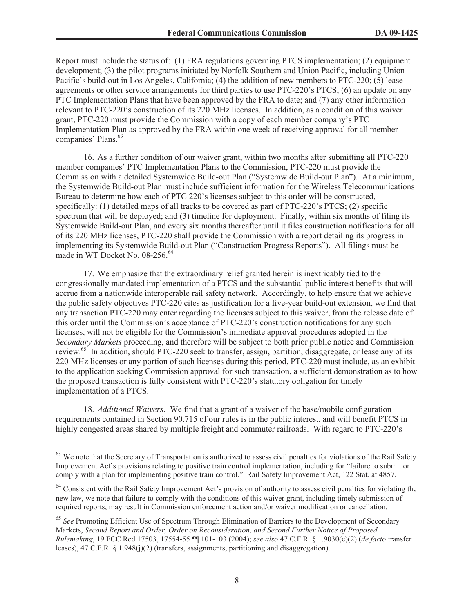Report must include the status of: (1) FRA regulations governing PTCS implementation; (2) equipment development; (3) the pilot programs initiated by Norfolk Southern and Union Pacific, including Union Pacific's build-out in Los Angeles, California; (4) the addition of new members to PTC-220; (5) lease agreements or other service arrangements for third parties to use PTC-220's PTCS; (6) an update on any PTC Implementation Plans that have been approved by the FRA to date; and (7) any other information relevant to PTC-220's construction of its 220 MHz licenses. In addition, as a condition of this waiver grant, PTC-220 must provide the Commission with a copy of each member company's PTC Implementation Plan as approved by the FRA within one week of receiving approval for all member companies' Plans.<sup>63</sup>

16. As a further condition of our waiver grant, within two months after submitting all PTC-220 member companies' PTC Implementation Plans to the Commission, PTC-220 must provide the Commission with a detailed Systemwide Build-out Plan ("Systemwide Build-out Plan"). At a minimum, the Systemwide Build-out Plan must include sufficient information for the Wireless Telecommunications Bureau to determine how each of PTC 220's licenses subject to this order will be constructed, specifically: (1) detailed maps of all tracks to be covered as part of PTC-220's PTCS; (2) specific spectrum that will be deployed; and (3) timeline for deployment. Finally, within six months of filing its Systemwide Build-out Plan, and every six months thereafter until it files construction notifications for all of its 220 MHz licenses, PTC-220 shall provide the Commission with a report detailing its progress in implementing its Systemwide Build-out Plan ("Construction Progress Reports"). All filings must be made in WT Docket No. 08-256.<sup>64</sup>

17. We emphasize that the extraordinary relief granted herein is inextricably tied to the congressionally mandated implementation of a PTCS and the substantial public interest benefits that will accrue from a nationwide interoperable rail safety network. Accordingly, to help ensure that we achieve the public safety objectives PTC-220 cites as justification for a five-year build-out extension, we find that any transaction PTC-220 may enter regarding the licenses subject to this waiver, from the release date of this order until the Commission's acceptance of PTC-220's construction notifications for any such licenses, will not be eligible for the Commission's immediate approval procedures adopted in the *Secondary Markets* proceeding, and therefore will be subject to both prior public notice and Commission review.<sup>65</sup> In addition, should PTC-220 seek to transfer, assign, partition, disaggregate, or lease any of its 220 MHz licenses or any portion of such licenses during this period, PTC-220 must include, as an exhibit to the application seeking Commission approval for such transaction, a sufficient demonstration as to how the proposed transaction is fully consistent with PTC-220's statutory obligation for timely implementation of a PTCS.

18. *Additional Waivers*. We find that a grant of a waiver of the base/mobile configuration requirements contained in Section 90.715 of our rules is in the public interest, and will benefit PTCS in highly congested areas shared by multiple freight and commuter railroads. With regard to PTC-220's

 $63$  We note that the Secretary of Transportation is authorized to assess civil penalties for violations of the Rail Safety Improvement Act's provisions relating to positive train control implementation, including for "failure to submit or comply with a plan for implementing positive train control." Rail Safety Improvement Act, 122 Stat. at 4857.

<sup>&</sup>lt;sup>64</sup> Consistent with the Rail Safety Improvement Act's provision of authority to assess civil penalties for violating the new law, we note that failure to comply with the conditions of this waiver grant, including timely submission of required reports, may result in Commission enforcement action and/or waiver modification or cancellation.

<sup>65</sup> *See* Promoting Efficient Use of Spectrum Through Elimination of Barriers to the Development of Secondary Markets, *Second Report and Order, Order on Reconsideration, and Second Further Notice of Proposed Rulemaking*, 19 FCC Rcd 17503, 17554-55 ¶¶ 101-103 (2004); *see also* 47 C.F.R. § 1.9030(e)(2) (*de facto* transfer leases), 47 C.F.R. § 1.948(j)(2) (transfers, assignments, partitioning and disaggregation).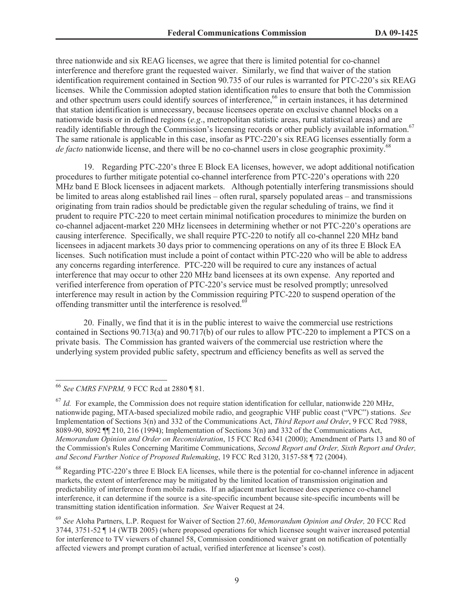three nationwide and six REAG licenses, we agree that there is limited potential for co-channel interference and therefore grant the requested waiver. Similarly, we find that waiver of the station identification requirement contained in Section 90.735 of our rules is warranted for PTC-220's six REAG licenses. While the Commission adopted station identification rules to ensure that both the Commission and other spectrum users could identify sources of interference,<sup>66</sup> in certain instances, it has determined that station identification is unnecessary, because licensees operate on exclusive channel blocks on a nationwide basis or in defined regions (*e.g*., metropolitan statistic areas, rural statistical areas) and are readily identifiable through the Commission's licensing records or other publicly available information.<sup>67</sup> The same rationale is applicable in this case, insofar as PTC-220's six REAG licenses essentially form a *de facto* nationwide license, and there will be no co-channel users in close geographic proximity.<sup>68</sup>

19. Regarding PTC-220's three E Block EA licenses, however, we adopt additional notification procedures to further mitigate potential co-channel interference from PTC-220's operations with 220 MHz band E Block licensees in adjacent markets. Although potentially interfering transmissions should be limited to areas along established rail lines – often rural, sparsely populated areas – and transmissions originating from train radios should be predictable given the regular scheduling of trains, we find it prudent to require PTC-220 to meet certain minimal notification procedures to minimize the burden on co-channel adjacent-market 220 MHz licensees in determining whether or not PTC-220's operations are causing interference. Specifically, we shall require PTC-220 to notify all co-channel 220 MHz band licensees in adjacent markets 30 days prior to commencing operations on any of its three E Block EA licenses. Such notification must include a point of contact within PTC-220 who will be able to address any concerns regarding interference. PTC-220 will be required to cure any instances of actual interference that may occur to other 220 MHz band licensees at its own expense. Any reported and verified interference from operation of PTC-220's service must be resolved promptly; unresolved interference may result in action by the Commission requiring PTC-220 to suspend operation of the offending transmitter until the interference is resolved.<sup>6</sup>

20. Finally, we find that it is in the public interest to waive the commercial use restrictions contained in Sections 90.713(a) and 90.717(b) of our rules to allow PTC-220 to implement a PTCS on a private basis. The Commission has granted waivers of the commercial use restriction where the underlying system provided public safety, spectrum and efficiency benefits as well as served the

<sup>66</sup> *See CMRS FNPRM,* 9 FCC Rcd at 2880 ¶ 81.

 $^{67}$  *Id.* For example, the Commission does not require station identification for cellular, nationwide 220 MHz, nationwide paging, MTA-based specialized mobile radio, and geographic VHF public coast ("VPC") stations. *See* Implementation of Sections 3(n) and 332 of the Communications Act, *Third Report and Order*, 9 FCC Rcd 7988, 8089-90, 8092 ¶¶ 210, 216 (1994); Implementation of Sections 3(n) and 332 of the Communications Act, *Memorandum Opinion and Order on Reconsideration*, 15 FCC Rcd 6341 (2000); Amendment of Parts 13 and 80 of the Commission's Rules Concerning Maritime Communications, *Second Report and Order, Sixth Report and Order, and Second Further Notice of Proposed Rulemaking*, 19 FCC Rcd 3120, 3157-58 ¶ 72 (2004).

<sup>&</sup>lt;sup>68</sup> Regarding PTC-220's three E Block EA licenses, while there is the potential for co-channel inference in adjacent markets, the extent of interference may be mitigated by the limited location of transmission origination and predictability of interference from mobile radios. If an adjacent market licensee does experience co-channel interference, it can determine if the source is a site-specific incumbent because site-specific incumbents will be transmitting station identification information. *See* Waiver Request at 24.

<sup>69</sup> *See* Aloha Partners, L.P. Request for Waiver of Section 27.60, *Memorandum Opinion and Order,* 20 FCC Rcd 3744, 3751-52 ¶ 14 (WTB 2005) (where proposed operations for which licensee sought waiver increased potential for interference to TV viewers of channel 58, Commission conditioned waiver grant on notification of potentially affected viewers and prompt curation of actual, verified interference at licensee's cost).